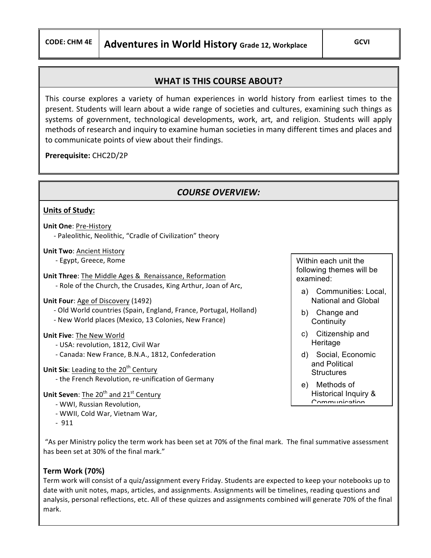# **WHAT IS THIS COURSE ABOUT?**

This course explores a variety of human experiences in world history from earliest times to the present. Students will learn about a wide range of societies and cultures, examining such things as systems of government, technological developments, work, art, and religion. Students will apply methods of research and inquiry to examine human societies in many different times and places and to communicate points of view about their findings.

## **Prerequisite:** CHC2D/2P

## **COURSE OVERVIEW:**

#### **Units of Study:**

**Unit One: Pre-History** - Paleolithic, Neolithic, "Cradle of Civilization" theory

**Unit Two: Ancient History** - Egypt, Greece, Rome

**Unit Three:** The Middle Ages & Renaissance, Reformation - Role of the Church, the Crusades, King Arthur, Joan of Arc,

**Unit Four:** Age of Discovery (1492)

- Old World countries (Spain, England, France, Portugal, Holland) - New World places (Mexico, 13 Colonies, New France)

#### **Unit Five: The New World**

- USA: revolution, 1812, Civil War
- Canada: New France, B.N.A., 1812, Confederation
- **Unit Six:** Leading to the 20<sup>th</sup> Century - the French Revolution, re-unification of Germany
- **Unit Seven:** The 20<sup>th</sup> and 21<sup>st</sup> Century
	- WWI, Russian Revolution,
	- WWII, Cold War, Vietnam War,
	- $-911$

"As per Ministry policy the term work has been set at 70% of the final mark. The final summative assessment has been set at 30% of the final mark."

### **Term Work (70%)**

Term work will consist of a quiz/assignment every Friday. Students are expected to keep your notebooks up to date with unit notes, maps, articles, and assignments. Assignments will be timelines, reading questions and analysis, personal reflections, etc. All of these quizzes and assignments combined will generate 70% of the final mark. 

Within each unit the following themes will be examined:

- a) Communities: Local, National and Global
- b) Change and **Continuity**
- c) Citizenship and **Heritage**
- d) Social, Economic and Political **Structures**
- e) Methods of Historical Inquiry & Communication